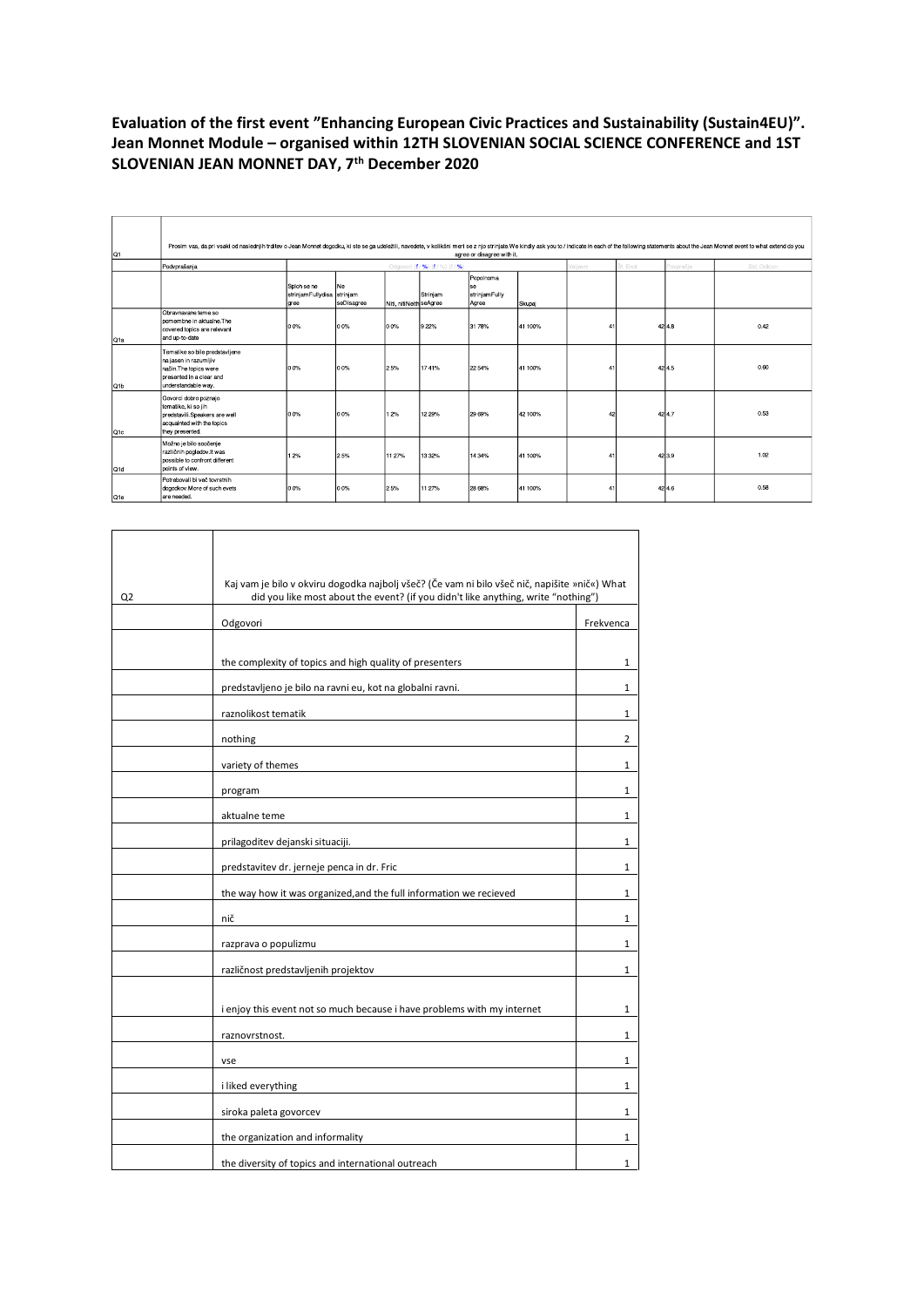## **Evaluation of the first event "Enhancing European Civic Practices and Sustainability (Sustain4EU)". Jean Monnet Module – organised within 12TH SLOVENIAN SOCIAL SCIENCE CONFERENCE and 1ST SLOVENIAN JEAN MONNET DAY, 7th December 2020**

| Q1              | Prosim vas, da pri vsaki od naslednjih trditev o Jean Monnet dogodku, ki ste se ga udeležili, navedete, v kolikšni meri se z njo strinjate. We kindly ask you to / indicate in each of the following statements about the Jean<br>agree or disagree with it. |                                                    |                                  |                         |          |                                           |         |          |          |          |             |
|-----------------|--------------------------------------------------------------------------------------------------------------------------------------------------------------------------------------------------------------------------------------------------------------|----------------------------------------------------|----------------------------------|-------------------------|----------|-------------------------------------------|---------|----------|----------|----------|-------------|
|                 | Podvprašanja                                                                                                                                                                                                                                                 |                                                    | Odgovori (f / %) (f / %) (f / %) |                         |          |                                           |         | /eliavni | Št. Enot | ovprečie | Std. Odklon |
|                 |                                                                                                                                                                                                                                                              | Sploh se ne<br>strinjam Fullydisa strinjam<br>gree | Ne<br>seDisagree                 | Niti, nitiNeith seAgree | Striniam | Popolnoma<br>se<br>striniamFully<br>Agree | Skupaj  |          |          |          |             |
| Q1a             | Obravnavane teme so<br>pomembne in aktualne. The<br>covered topics are relevant<br>and up-to-date                                                                                                                                                            | 0.0%                                               | 0.0%                             | 0.0%                    | 922%     | 31 78%                                    | 41 100% | 4        |          | 4248     | 0.42        |
| Q <sub>1b</sub> | Tematike so bile predstavljene<br>na jasen in razumljiv<br>način The topics were<br>presented in a clear and<br>understandable way.                                                                                                                          | 0.0%                                               | 0.0%                             | 25%                     | 1741%    | 22 54%                                    | 41 100% | 4        |          | 424.5    | 0.60        |
| Q <sub>1c</sub> | Govorci dobro poznajo<br>tematike, ki so jih<br>predstavili.Speakers are well<br>acquainted with the topics<br>they presented.                                                                                                                               | 0.0%                                               | 0.0%                             | 12%                     | 12 29%   | 29 69%                                    | 42 100% |          |          | 424.7    | 0.53        |
| Q1d             | Možno je bilo soočenje<br>različnih pogledov it was<br>possible to confront different<br>points of view.                                                                                                                                                     | 12%                                                | 25%                              | 11 27%                  | 13 3 2%  | 14 34%                                    | 41 100% | 41       |          | 42 3.9   | 1.02        |
| Q1e             | Potrebovali bi več tovrstnih<br>dogodkov More of such evets<br>are needed.                                                                                                                                                                                   | 0.0%                                               | 0.0%                             | 25%                     | 11 27%   | 28 68%                                    | 41 100% | 4        |          | 424.6    | 0.58        |

٦

| Q <sub>2</sub> | Kaj vam je bilo v okviru dogodka najbolj všeč? (Če vam ni bilo všeč nič, napišite »nič«) What<br>did you like most about the event? (if you didn't like anything, write "nothing") |              |
|----------------|------------------------------------------------------------------------------------------------------------------------------------------------------------------------------------|--------------|
|                | Odgovori                                                                                                                                                                           | Frekvenca    |
|                | the complexity of topics and high quality of presenters                                                                                                                            | 1            |
|                | predstavljeno je bilo na ravni eu, kot na globalni ravni.                                                                                                                          | 1            |
|                | raznolikost tematik                                                                                                                                                                | 1            |
|                | nothing                                                                                                                                                                            | 2            |
|                | variety of themes                                                                                                                                                                  | 1            |
|                | program                                                                                                                                                                            | 1            |
|                | aktualne teme                                                                                                                                                                      | $\mathbf{1}$ |
|                | prilagoditev dejanski situaciji.                                                                                                                                                   | 1            |
|                | predstavitev dr. jerneje penca in dr. Fric                                                                                                                                         | 1            |
|                | the way how it was organized, and the full information we recieved                                                                                                                 | 1            |
|                | nič                                                                                                                                                                                | 1            |
|                | razprava o populizmu                                                                                                                                                               | 1            |
|                | različnost predstavljenih projektov                                                                                                                                                | 1            |
|                |                                                                                                                                                                                    |              |
|                | i enjoy this event not so much because i have problems with my internet                                                                                                            | 1            |
|                | raznovrstnost.                                                                                                                                                                     | 1            |
|                | vse                                                                                                                                                                                | 1            |
|                | i liked everything                                                                                                                                                                 | $\mathbf{1}$ |
|                | siroka paleta govorcev                                                                                                                                                             | 1            |
|                | the organization and informality                                                                                                                                                   | 1            |
|                | the diversity of topics and international outreach                                                                                                                                 | 1            |

 $\Gamma$ 

Τ